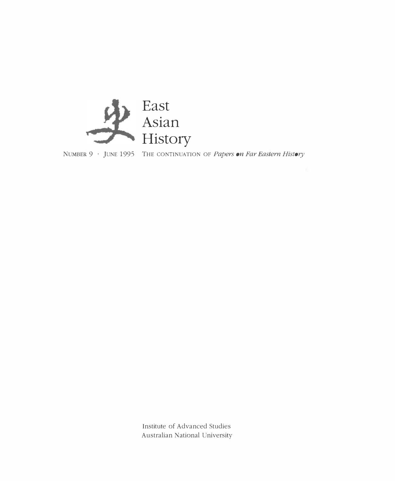

NUMBER 9 · JUNE 1995 THE CONTINUATION OF Papers on Far Eastern History

Institute of Advanced Studies Australian National University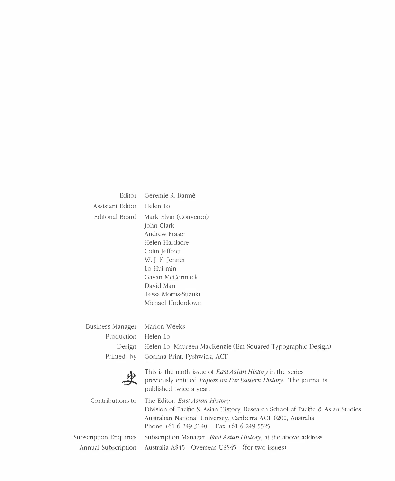| Editor                 | Geremie R. Barmé                                                                                                                                                                                                                    |
|------------------------|-------------------------------------------------------------------------------------------------------------------------------------------------------------------------------------------------------------------------------------|
| Assistant Editor       | Helen Lo                                                                                                                                                                                                                            |
| Editorial Board        | Mark Elvin (Convenor)<br>John Clark<br>Andrew Fraser<br>Helen Hardacre<br>Colin Jeffcott<br>W. J. F. Jenner<br>Lo Hui-min<br>Gavan McCormack<br>David Marr<br>Tessa Morris-Suzuki<br>Michael Underdown                              |
| Business Manager       | Marion Weeks                                                                                                                                                                                                                        |
| Production             | Helen Lo                                                                                                                                                                                                                            |
| Design                 | Helen Lo; Maureen MacKenzie (Em Squared Typographic Design)                                                                                                                                                                         |
| Printed by             | Goanna Print, Fyshwick, ACT                                                                                                                                                                                                         |
|                        | This is the ninth issue of <i>East Asian History</i> in the series<br>previously entitled Papers on Far Eastern History. The journal is<br>published twice a year.                                                                  |
| Contributions to       | The Editor, <i>East Asian History</i><br>Division of Pacific & Asian History, Research School of Pacific & Asian Studies<br>Australian National University, Canberra ACT 0200, Australia<br>Phone +61 6 249 3140 Fax +61 6 249 5525 |
| Subscription Enquiries | Subscription Manager, East Asian History, at the above address                                                                                                                                                                      |
| Annual Subscription    | Australia A\$45 Overseas US\$45 (for two issues)                                                                                                                                                                                    |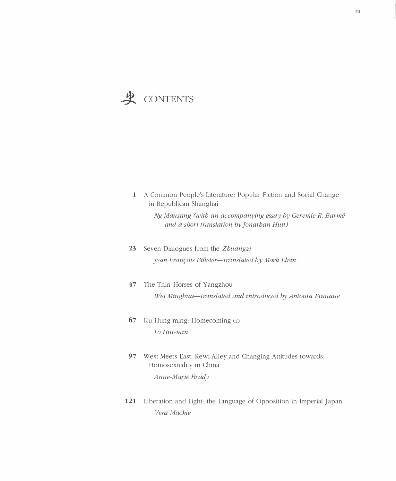# & CONTENTS

| 1        | A Common People's Literature: Popular Fiction and Social Change<br>in Republican Shanghai                                                                                                                                     |
|----------|-------------------------------------------------------------------------------------------------------------------------------------------------------------------------------------------------------------------------------|
|          | Ng Mausang (with an accompanying essay by Geremie R. Barmé<br>and a short translation by Jonathan Hutt)                                                                                                                       |
| 23       | Seven Dialogues from the Zhuangzi                                                                                                                                                                                             |
|          | Jean François Billeter-translated by Mark Elvin                                                                                                                                                                               |
| 47       | The Thin Horses of Yangzhou                                                                                                                                                                                                   |
|          | Wei Minghua-translated and introduced by Antonia Finnane                                                                                                                                                                      |
| 67       | Ku Hung-ming: Homecoming (2)                                                                                                                                                                                                  |
|          | Lo Hui-min                                                                                                                                                                                                                    |
| 97       | West Meets East: Rewi Alley and Changing Attitudes towards<br>Homosexuality in China                                                                                                                                          |
|          | Anne-Marie Brady                                                                                                                                                                                                              |
| $\sim$ 1 | The second search of the low of the company of Chemical telefone and the form of the season of the company of the season of the season of the season of the season of the season of the season of the season of the season of |

121 Liberation and Light: the Language of Opposition in Imperial Japan Vera Mackie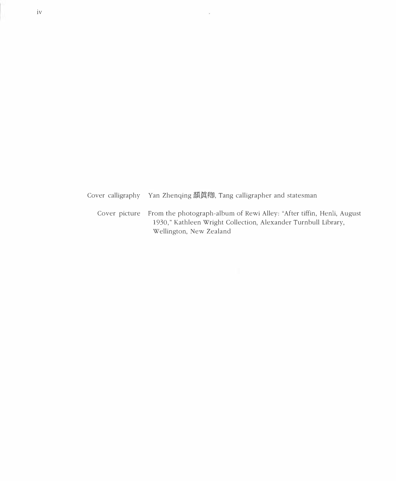Cover calligraphy Yan Zhenqing 顔眞卿, Tang calligrapher and statesman

 $\overline{\phantom{a}}$ 

Cover picture From the photograph-album of Rewi Alley: "After tiffin, Henli, August 1930," Kathleen Wright Collection, Alexander Turnbull Library, Wellington, New Zealand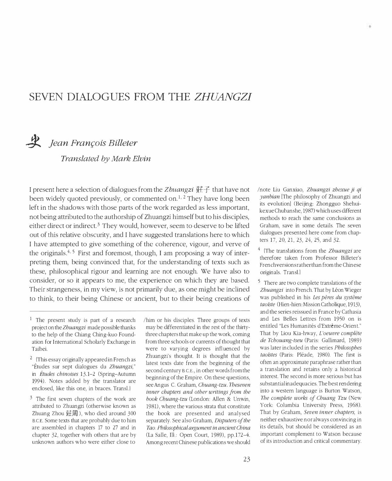## SEVEN DIALOGUES FROM THE ZHUANGZI

# Hean François Billeter

Translated by Mark Elvin

I present here a selection of dialogues from the Zhuangzi  $\ddot{H}$   $\ddot{f}$  that have not been widely quoted previously, or commented on.<sup>1, 2</sup> They have long been left in the shadows with those parts of the work regarded as less important, not being attributed to the authorship of Zhuangzi himself but to his disciples, either direct or indirect.<sup>3</sup> They would, however, seem to deserve to be lifted out of this relative obscurity, and I have suggested translations here to which I have attempted to give something of the coherence, vigour, and verve of the originals.<sup>4, 5</sup> First and foremost, though, I am proposing a way of interpreting them, being convinced that, for the understanding of texts such as these, philosophical rigour and learning are not enough. We have also to consider, or so it appears to me, the experience on which they are based. Their strangeness, in my view, is not primarily due, as one might be inclined to think, to their being Chinese or ancient, but to their being creations of

/him or his disciples. Three groups of texts may be differentiated in the rest of the thirtythree chapters that make up the work, coming from three schools or currents of thought that were to varying degrees influenced by Zhuangzi's thought. It is thought that the latest texts date from the beginning of the second century BCE., in other words from the beginning of the Empire. On these questions, see Angus C. Graham, Chuang-tzu.Theseven inner chapters and other writings from the book Chuang-tzu (London: Allen & Unwin, 1981), where the various strata that constitute the book are presented and analysed separately. See also Graham, Disputers of the Tao. Philosophical argument in ancient China (La Salle, Ill.: Open Court, 1989), pp.172-4. Among recent Chinese publications we should Inote Liu Ganxiao, Zhuangzi zhexue ji qi yanbian [The philosophy of Zhuangzi and its evolution! (Beijing: Zhongguo Shehuikexue Chubanshe, 1987) which uses different methods to reach the same conclusions as Graham, save in some details. The seven dialogues presented here come from chapters 17, 20, 21, 23, 24, 25, and 32.

 $4$  (The translations from the *Zbuangzi* are therefore taken from Professor Billeter'S French versions rather than from the Chinese originals. Transl.}

<sup>5</sup> There are two complete translations of the Zhuangzi into French. That by Léon Wieger was published in his Les pères du système taoiste (Hien-hien: Mission Catholique, 1913), and the series reissued in France by Cathasia and Les Belles Lettres from 1950 on is entitled "Les Humanités d'Extrême-Orient." That by Liou Kia-hway, L'oeuvre complète de Tchouang-tseu (Paris: Gallimard, 1989) was later included in the series Philosophes taoistes (Paris: Pléade, 1980). The first is often an approximate paraphrase rather than a translation and retains only a historical interest. The second is more serious but has substantial inadequacies. The best rendering into a western language is Burton Watson, The complete works of Chuang Tzu (New York: Columbia University Press, 1968). That by Graham, Seven inner chapters, is neither exhaustive nor always convincing in its details, but should be considered as an important complement to Watson because of its introduction and critical commentary.

<sup>&</sup>lt;sup>1</sup> The present study is part of a research project on the Zhuangzi made possible thanks to the help of the Chiang Ching-kuo Foundation for International Scholarly Exchange in Taibei.

<sup>&</sup>lt;sup>2</sup> (This essay originally appeared in French as "Etudes sur sept dialogues du Zhuangzi," in Études chinoises 13.1-2 (Spring-Autumn 1994). Notes added by the translator are enclosed, like this one, in braces. Transl.]

 $3$  The first seven chapters of the work are attributed to Zhuangzi (otherwise known as Zhuang Zhou 莊周), who died around  $300$ B.CE. Some texts that are probably due to him are assembled in chapters 17 to 27 and in chapter 32, together with others that are by unknown authors who were either close to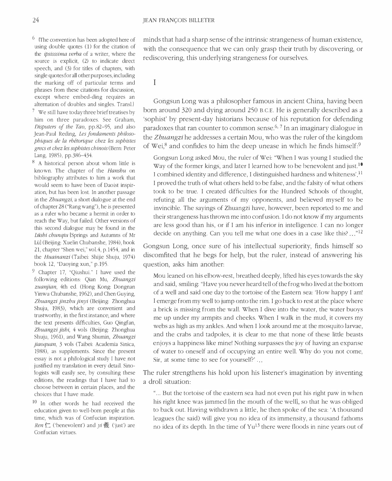$6\;$  {The convention has been adopted here of using double quotes (1) for the citation of the ipsisssima verba of a writer, where the source is explicit, (2) to indicate direct speech, and (3) for titles of chapters, with single quotes for all other purposes, including the marking off of particular terms and phrases from these citations for discussion, except where embed-ding requires an alternation of doubles and singles. Transl.  $7$  We still have today three brief treatises by him on three paradoxes. See Graham,

Disputers of the Tao, pp.82-95, and also Jean-Paul Reding, Les fondaments philosophiques de la rhétorique chez les sophistes grecs et chez les sophistes chinois (Bern: Peter Lang, 1985), pp.386-434.

 $8$  A historical person about whom little is known. The chapter of the Hanshu on bibliography attributes to him a work that would seem to have been of Daoist inspiration, but has been lost. In another passage in the Zhuangzi, a short dialogue at the end of chapter 28 ("Rang wang"), he is presented as a ruler who became a hermit in order to reach the Way, but failed. Other versions of this second dialogue may be found in the Liishi chunqiu [Springs and Autumns of Mr Lül (Beijing: Xuelin Chubanshe, 1984), book 21, chapter "Shen wei," vol.4, p.1454, and in the Huainanzi (Taibei: Shijie Shuju, 1974) book 12, "Daoying xun," p.195.

 $9$  Chapter 17, "Oiushui." I have used the following editions: Qian Mu, Zhuangzi zuanjian, 4th ed. (Hong Kong: Dongnan Yinwu Chubanshe, 1962), and Chen Guying, Zhuangzi jinzhu jinyi (Beijing: Zhonghua Shuju, 1983), which are convenient and trustworthy, in the first instance; and where the text presents difficulties, Guo Qingfan, Zhuangzi jishi, 4 vols (Beijing: Zhonghua Shuju, 1961), and Wang Shumin, Zhuangzi jiaoquan, 3 vols (Taibei: Academia Sinica, 1988), as supplements. Since the present essay is not a philological study I have not justified my translation in every detail. Sinologists will easily see, by consulting these editions, the readings that I have had to choose between in certain places, and the choices that I have made.

 $10$  In other words he had received the education given to well-born people at this time, which was of Confucian inspiration.  $Ren \subset$  ('benevolent') and  $yi$  羲 ('just') are Confucian virtues.

minds that had a sharp sense of the intrinsic strangeness of human existence, with the consequence that we can only grasp their truth by discovering, or rediscovering, this underlying strangeness for ourselves.

I

Gongsun Long was a philosopher famous in ancient China, having been born around 320 and dying around 250 S.C.E. He is generally described as a 'sophist' by present-day historians because of his reputation for defending paradoxes that ran counter to common sense.<sup> $6, 7$ </sup> In an imaginary dialogue in the Zhuangzi he addresses a certain Mou, who was the ruler of the kingdom of Wei,<sup>8</sup> and confides to him the deep unease in which he finds himself:<sup>9</sup>

Gongsun Long asked Mou, the ruler of Wei: "When I was young I studied the Way of the former kings, and later I learned how to be benevolent and just.<sup>10</sup> I combined identity and difference. I distinguished hardness and whiteness'.<sup>11</sup> I proved the truth of what others held to be false, and the falsity of what others took to be true. I created difficulties for the Hundred Schools of thought, refuting all the arguments of my opponents, and believed myself to be invincible. The sayings of Zhuangzi have, however, been reported to me and their strangeness has thrown me into confusion. I do not know if my arguments are less good than his, or if I am his inferior in intelligence. I can no longer decide on anything. Can you tell me what one does in a case like this?  $\ldots$ <sup>"12</sup>

Gongsun Long, once sure of his intellectual superiority, finds himself so discomfited that he begs for help, but the ruler, instead of answering his question, asks him another:

Mou leaned on his elbow-rest, breathed deeply, lifted his eyes towards the sky and said, smiling: "Have you never heard tell of the frog who lived at the bottom of a well and said one day to the tortoise of the Eastern sea: 'How happy I am! I emerge from my well to jump onto the rim. I go back to rest at the place where a brick is missing from the wall. When I dive into the water, the water buoys me up under my armpits and cheeks. When I walk in the mud, it covers my webs as high as my ankles. And when I look around me at the mosquito larvae, and the crabs and tadpoles, it is clear to me that none of these little beasts enjoys a happiness like mine! Nothing surpasses the joy of having an expanse of water to oneself and of occupying an entire well. Why do you not come, Sir, at some time to see for yourself?' ...

The ruler strengthens his hold upon his listener's imagination by inventing a droll situation:

"... But the tortoise of the eastern sea had not even put his right paw in when his right knee was jammed [in the mouth of the weill, so that he was obliged to back out. Having withdrawn a little, he then spoke of the sea: 'A thousand leagues (he said) will give you no idea of its immensity, a thousand fathoms no idea of its depth. In the time of Yu13 there were floods in nine years out of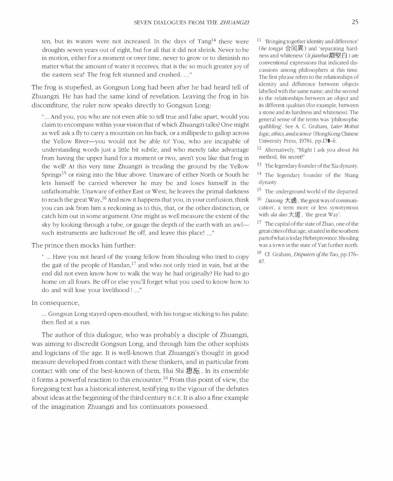ten, but its waters were not increased. In the days of  $Tang<sup>14</sup>$  there were droughts seven years out of eight, but for all that it did not shrink. Never to be in motion, either for a moment or over time, never to grow or to diminish no matter what the amount of water it receives, that is the so much greater joy of the eastern sea!' The frog felt stunned and crushed...."

The frog is stupefied, as Gongsun Long had been after he had heard tell of Zhuangzi. He has had the same kind of revelation. Leaving the frog in his discomfiture, the ruler now speaks directly to Gongsun Long:

"... And you, you who are not even able to tell true and false apart, would you claim to encompass within your vision that of which Zhuangzi talks? One might as well ask a fly to carry a mountain on his back, or a millipede to gallop across the Yellow River-you would not be able to! You, who are incapable of understanding words just a little bit subtle, and who merely take advantage from having the upper hand for a moment or two, aren't you like that frog in the well? At this very time Zhuangzi is treading the ground by the Yellow Springs<sup>15</sup> or rising into the blue above. Unaware of either North or South he lets himself be carried wherever he may be and loses himself in the unfathomable. Unaware of either East or West, he leaves the primal darkness to reach the great Way.<sup>16</sup> And now it happens that you, in your confusion, think you can ask from him a reckoning as to this, that, or the other distinction, or catch him out in some argument. One might as well measure the extent of the sky by looking through a tube, or gauge the depth of the earth with an awl such instruments are ludicrous! Be off, and leave this place! ..."

The prince then mocks him further:

" ... Have you not heard of the young fellow from Shouling who tried to copy the gait of the people of Handan, $17$  and who not only tried in vain, but at the end did not even know how to walk the way he had originally? He had to go home on all fours. Be off or else you'll forget what you used to know how to do and will lose your livelihood !..."

#### In consequence,

... Gongsun Long stayed open-mouthed, with his tongue sticking to his palate; then fled at a run.

The author of this dialogue, who was probably a disciple of Zhuangzi, was aiming to discredit Gongsun Long, and through him the other sophists and logicians of the age. It is well-known that Zhuangzi's thought in good measure developed from contact with these thinkers, and in particular from contact with one of the best-known of them, Hui Shi 惠施. In its ensemble it forms a powerful reaction to this encounter.18 From this point of view, the foregoing text has a historical interest, testifying to the vigour of the debates about ideas at the beginning of the third century B.C.E. It is also a fine example of the imagination Zhuangzi and his continuators possessed.

 $11$  'Bringing together identity and difference' (he tongyi 合同異) and 'separating hardness and whiteness' (li jianbai離堅白) are conventional expressions that indicated discussions among philosophers at this time. The first phrase refers to the relationships of identity and difference between objects labelled with the same name; and the second to the relationships between an object and its different qualities (for example, between a stone and its hardness and whiteness). The general sense of the terms was 'philosophic quibbling'. See A. C. Graham, Later Mohist logic, ethics, and science (Hong Kong: Chinese University Press, 1978), pp.170-6.

12 Alternatively, "Might I ask you about his method, *his* secret?"

- <sup>13</sup> The legendary founder of the Xia dynasty.
- <sup>14</sup> The legendary founder of the Shang dynasty.
- <sup>15</sup> The underground world of the departed.
- 16 *Datong* 大通, 'the great way of communication', a term more or less synonymous with *da dao* 大道, 'the great Way'.
- <sup>17</sup> The capital of the state of Zhao, one of the great cities of that age, situated in the southern part of what is today Hebei province. Shouling was a town in the state of Yan further north.
- <sup>18</sup> Cf. Graham, *Disputers of the Tao*, pp.176-87.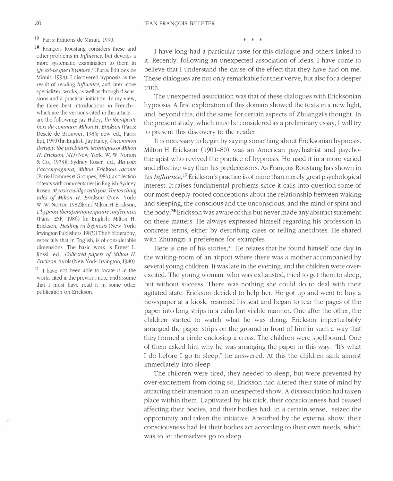19 Paris: Editions de Minuit, 1990.

20 Fran�ois Roustang considers these and other problems in Influence, but devotes a more systematic examination to them in QU'est-ce que l'hypnose? (Paris: Editions de Minuit, 1994). I discovered hypnosis as the result of reading *Influence*, and later more specialized works, as well as through discussions and a practical initiation. In my view, the three best introductions in Frenchwhich are the versions cited in this articleare the following: Jay Haley, Un thérapeute hors du commun: Milton H. Erickson (Paris: Descle de Brouwer, 1984; new ed., Paris: Epi, 1990) [in English: Jay Haley, Uncommon therapy: the psychiatric techniques of Milton H. Erickson, MD (New York: W. W. Norton & Co., 1973)]; Sydney Rosen, ed., Ma voix t'accompagnera, Milton Erickson raconte (Paris: Hommes et Groupes, 1986), a collection of texts with commentaries [in English: Sydney Rosen, My voice willgo with you. The teaching tales of Milton H. Erickson (New York: W. W. Norton, 1982)]; and Milton H. Erickson, L'hypnose thérapeutique, quatre conférences (Paris: ESF, 1986) [in English: Milton H. Erickson, Healing in hypnosis (New York: Irwington Publishers, 1983)]. The bibliography, especially that in English, is of considerable dimensions. The basic work is Ernest L. Rossi, ed., Collected papers of Milton H. Erickson, 4 vols (New York: Irvington, 1980).

 $21$  I have not been able to locate it in the works cited in the previous note, and assume that I must have read it in some other publication on Erickson.

I have long had a particular taste for this dialogue and others linked to it. Recently, following an unexpected association of ideas, I have come to believe that I understand the cause of the effect that they have had on me. These dialogues are not only remarkable for their verve, but also for a deeper truth.

\* \* \*

The unexpected association was that of these dialogues with Ericksonian hypnosis. A first exploration of this domain showed the texts in a new light, and, beyond this, did the same for certain aspects of Zhuangzi's thought. In the present study, which must be considered as a preliminary essay, I will try to present this discovery to the reader.

It is necessary to begin by saying something about Ericksonian hypnosis. Milton H. Erickson (1901–80) was an American psychiatrist and psychotherapist who revived the practice of hypnosis. He used it in a more varied and effective way than his predecessors. As François Roustang has shown in his *Influence*, <sup>19</sup> Erickson's practice is of more than merely great psychological interest. It raises fundamental problems since it calls into question some of our most deeply-rooted conceptions about the relationship between waking and sleeping, the conscious and the unconscious, and the mind or spirit and the body.20 Erickson was aware of this but never made any abstract statement on these matters. He always expressed himself regarding his profession in concrete terms, either by describing cases or telling anecdotes. He shared with Zhuangzi a preference for examples.

Here is one of his stories.<sup>21</sup> He relates that he found himself one day in the waiting-room of an airport where there was a mother accompanied by several young children. It was late in the evening, and the children were overexcited. The young woman, who was exhausted, tried to get them to sleep, but without success. There was nothing she could do to deal with their agitated state. Erickson decided to help her. He got up and went to buy a newspaper at a kiosk, resumed his seat and began to tear the pages of the paper into long strips in a calm but visible manner. One after the other, the children started to watch what he was doing. Erickson imperturbably arranged the paper strips on the ground in front of him in such a way that they formed a circle enclosing a cross. The children were spellbound. One of them asked him why he was arranging the paper in this way. "It's what I do before I go to sleep," he answered. At this the children sank almost immediately into sleep.

The children were tired, they needed to sleep, but were prevented by over-excitement from doing so. Erickson had altered their state of mind by attracting their attention to an unexpected show. A disassociation had taken place within them. Captivated by his trick, their consciousness had ceased affecting their bodies, and their bodies had, in a certain sense, seized the opportunity and taken the initiative. Absorbed by the external show, their consciousness had let their bodies act according to their own needs, which was to let themselves go to sleep.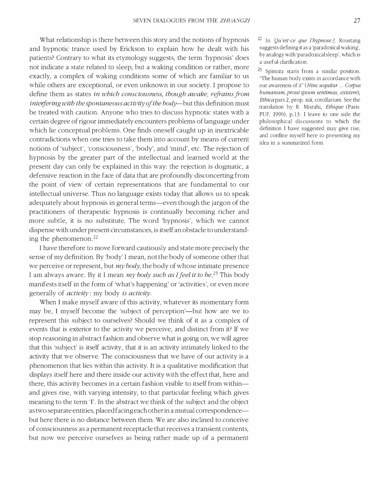What relationship is there between this story and the notions of hypnosis and hypnotic trance used by Erickson to explain how he dealt with his patients? Contrary to what its etymology suggests, the term 'hypnosis' does not indicate a state related to sleep, but a waking condition or rather, more exactly, a complex of waking conditions some of which are familiar to us while others are exceptional, or even unknown in our society. I propose to define them as states in which consciousness, though awake, refrains from interfering with the spontaneous activity of the body-but this definition must be treated with caution. Anyone who tries to discuss hypnotic states with a certain degree of rigour immediately encounters problems of language under which lie conceptual problems. One finds oneself caught up in inextricable contradictions when one tries to take them into account by means of current notions of 'subject', 'consciousness', 'body', and 'mind', etc. The rejection of hypnosis by the greater part of the intellectual and learned world at the present day can only be explained in this way: the rejection is dogmatic, a defensive reaction in the face of data that are profoundly disconcerting from the point of view of certain representations that are fundamental to our intellectual universe. Thus no language exists today that allows us to speak adequately about hypnosis in general terms—even though the jargon of the practitioners of therapeutic hypnosis is continually becoming richer and more subtle, it is no substitute. The word 'hypnosis', which we cannot dispense with under present circumstances, is itself an obstacle to understanding the phenomenon.22

I have therefore to move forward cautiously and state more precisely the sense of my definition. By 'body' I mean, not the body of someone other that we perceive or represent, but  $my$  body, the body of whose intimate presence I am always aware. By it I mean *my body such as I feel it to be*<sup>23</sup> This body manifests itself in the form of 'what's happening' or 'activities', or even more generally of activity: my body is activity.

When I make myself aware of this activity, whatever its momentary form may be, I myself become the 'subject of perception'—but how are we to represent this subject to ourselves? Should we think of it as a complex of events that is exterior to the activity we perceive, and distinct from it? If we stop reasoning in abstract fashion and observe what is going on, we will agree that this 'subject' is itself activity, that it is an activity intimately linked to the activity that we observe. The consciousness that we have of our activity is a phenomenon that lies within this activity. It is a qualitative modification that displays itself here and there inside our activity with the effect that, here and there, this activity becomes in a certain fashion visible to itself from withinand gives rise, with varying intensity, to that particular feeling which gives meaning to the term 'I'. In the abstract we think of the subject and the object as two separate entities, placed facing each other in a mutual correspondencebut here there is no distance between them. We are also inclined to conceive of consciousness as a permanent receptacle that receives a transient contents, but now we perceive ourselves as being rather made up of a permanent

 $^{22}$  In *Qu'est-ce que l'hypnose* ?, Roustang suggests defining it as a 'paradoxical waking', by analogy with 'paradoxical sleep', which is a useful clarification.

23 Spinoza starts from a similar position. "The human body exists in accordance with our awareness of it" (Hine sequitur ... Corpus humanum, prout ipsum sentimus, existere), Ethiea pars 2, prop. xiii, corollarium. See the translation by R. Misrahi, Ethique (Paris: PUF, 1990), p.13. I leave to one side the philosophical discussions to which the definition I have suggested may give rise, and confine myself here to presenting my idea in a summarized form.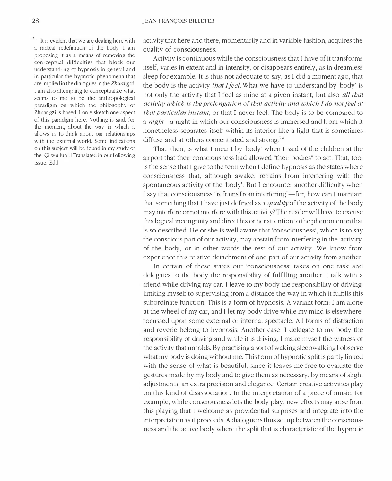$24$  It is evident that we are dealing here with a radical redefinition of the body. I am proposing it as a means of removing the con-ceptual difficulties that block our understand-ing of hypnosis in general and in particular the hypnotic phenomena that are implied in the dialogues in the Zhuangzi. I am also attempting to conceptualize what seems to me to be the anthropological paradigm on which the philosophy of Zhuangzi is based. I only sketch one aspect of this paradigm here. Nothing is said, for the moment, about the way in which it allows us to think about our relationships with the external world. Some indications on this subject will be found in my study of the 'Qi wu lun'. [Translated in our following issue. Ed.]

activity that here and there, momentarily and in variable fashion, acquires the quality of consciousness.

Activity is continuous while the consciousness that I have of it transforms itself, varies in extent and in intensity, or disappears entirely, as in dreamless sleep for example. It is thus not adequate to say, as I did a moment ago, that the body is the activity *that I feel*. What we have to understand by 'body' is not only the activity that I feel as mine at a given instant, but also all that activity which is the prolongation of that activity and which I do not feel at that particular instant, or that I never feel. The body is to be compared to a night-a night in which our consciousness is immersed and from which it nonetheless separates itself within its interior like a light that is sometimes diffuse and at others concentrated and strong.<sup>24</sup>

That, then, is what I meant by 'body' when I said of the children at the airport that their consciousness had allowed "their bodies" to act. That, too, is the sense that I give to the term when I define hypnosis as the states where consciousness that, although awake, refrains from interfering with the spontaneous activity of the 'body' . But I encounter another difficulty when I say that consciousness "refrains from interfering"-for, how can I maintain that something that I have just defined as a *quality* of the activity of the body may interfere or not interfere with this activity? The reader will have to excuse this logical incongruity and direct his or her attention to the phenomenon that is so described. He or she is well aware that 'consciousness', which is to say the conscious part of our activity, may abstain from interfering in the 'activity' of the body, or in other words the rest of our activity. We know from experience this relative detachment of one part of our activity from another.

In certain of these states our 'consciousness' takes on one task and delegates to the body the responsibility of fulfilling another. I talk with a friend while driving my car. I leave to my body the responsibility of driving, limiting myself to supervising from a distance the way in which it fulfills this subordinate function. This is a form of hypnosis. A variant form: I am alone at the wheel of my car, and I let my body drive while my mind is elsewhere, focussed upon some external or internal spectacle. All forms of distraction and reverie belong to hypnosis. Another case: I delegate to my body the responsibility of driving and while it is driving, I make myself the witness of the activity that unfolds. By practising a sort of waking sleepwalking I observe what my body is doing without me. This form of hypnotic split is partly linked with the sense of what is beautiful, since it leaves me free to evaluate the gestures made by my body and to give them as necessary, by means of slight adjustments, an extra precision and elegance. Certain creative activities play on this kind of disassociation. In the interpretation of a piece of music, for example, while consciousness lets the body play, new effects may arise from this playing that I welcome as providential surprises and integrate into the interpretation as it proceeds. A dialogue is thus set up between the consciousness and the active body where the split that is characteristic of the hypnotic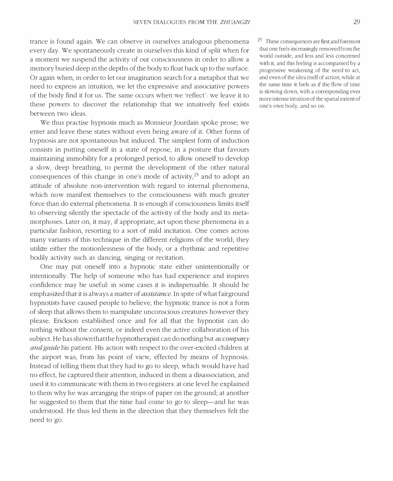trance is found again. We can observe in ourselves analogous phenomena every day. We spontaneously create in ourselves this kind of split when for a moment we suspend the activity of our consciousness in order to allow a memory buried deep in the depths of the body to float back up to the surface. Or again when, in order to let our imagination search for a metaphor that we need to express an intuition, we let the expressive and associative powers of the body find it for us. The same occurs when we 'reflect': we leave it to these powers to discover the relationship that we intuitively feel exists between two ideas.

We thus practise hypnosis much as Monsieur Jourdain spoke prose; we enter and leave these states without even being aware of it. Other forms of hypnosis are not spontaneous but induced. The simplest form of induction consists in putting oneself in a state of repose, in a posture that favours maintaining immobility for a prolonged period, to allow oneself to develop a slow, deep breathing, to permit the development of the other natural consequences of this change in one's mode of activity, $2<sup>5</sup>$  and to adopt an attitude of absolute non-intervention with regard to internal phenomena, which now manifest themselves to the consciousness with much greater force than do external phenomena. It is enough if consciousness limits itself to observing silently the spectacle of the activity of the body and its metamorphoses. Later on, it may, if appropriate, act upon these phenomena in a particular fashion, resorting to a sort of mild incitation. One comes across many variants of this technique in the different religions of the world; they utilize either the motionlessness of the body, or a rhythmic and repetitive bodily activity such as dancing, singing or recitation.

One may put oneself into a hypnotic state either unintentionally or intentionally. The help of someone who has had experience and inspires confidence may be useful: in some cases it is indispensable. It should be emphasized that it is always a matter of *assistance*. In spite of what fairground hypnotists have caused people to believe, the hypnotic trance is not a form of sleep that allows them to manipulate unconscious creatures however they please. Erickson established once and for all that the hypnotist can do nothing without the consent, or indeed even the active collaboration of his subject. He has shown that the hypnotherapist can do nothing but  $accompan y$ and guide his patient. His action with respect to the over-excited children at the airport was, from his point of view, effected by means of hypnosis. Instead of telling them that they had to go to sleep, which would have had no effect, he captured their attention, induced in them a disassociation, and used it to communicate with them in two registers: at one level he explained to them why he was arranging the strips of paper on the ground; at another he suggested to them that the time had come to go to sleep—and he was understood. He thus led them in the direction that they themselves felt the need to go.

25 These consequences are first and foremost that one feels increasingly removed from the world outside, and less and less concerned with it, and this feeling is accompanied by a progressive weakening of the need to act, and even of the idea itself of action, while at the same time it feels as if the flow of time is slowing down, with a corresponding ever more intense intuition of the spatial extent of one's own body, and so on,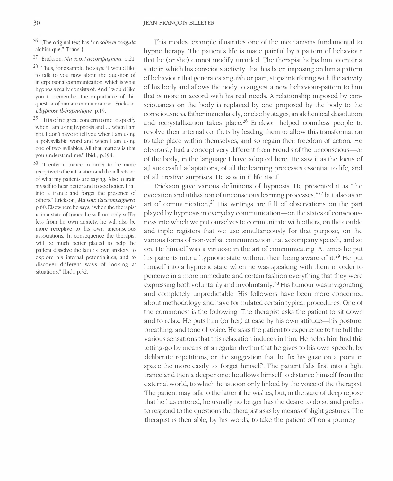<sup>26</sup> {The original text has "un solve et coagula alchimique." TransI.l

27 Erickson, Ma voix l'accompagnera, p.21.

<sup>28</sup> Thus, for example, he says: "I would like to talk to you now about the question of interpersonal communication, which is what hypnosis really consists of. And I would like you to remember the importance of this question of human communication." Erickson, L'hypnose thérapeutique, p.19.

<sup>29</sup> "It is of no great concern to me to specify when I am using hypnosis and ... when I am not. I don't have to tell you when I am using a polysyllabic word and when I am using one of two syllables. All that matters is that you understand me." Ibid., p.194.

<sup>30</sup> "I enter a trance in order to be more receptive to the intonation and the inflections of what my patients are saying. Also to train myself to hear better and to see better. I fall into a trance and forget the presence of others." Erickson, Ma voix t'accompagnera, p.60. Elsewhere he says, "when the therapist is in a state of trance he will not only suffer less from his own anxiety, he will also be more receptive to his own unconscious associations. In consequence the therapist will be much better placed to help the patient dissolve the latter's own anxiety, to explore his internal potentialities, and to discover different ways of looking at situations." Ibid., p.32.

This modest example illustrates one of the mechanisms fundamental to hypnotherapy. The patient's life is made painful by a pattern of behaviour that he (or she) cannot modify unaided. The therapist helps him to enter a state in which his conscious activity, that has been imposing on him a pattern of behaviour that generates anguish or pain, stops interfering with the activity of his body and allows the body to suggest a new behaviour-pattern to him that is more in accord with his real needs. A relationship imposed by consciousness on the body is replaced by one proposed by the body to the consciousness. Either immediately, or else by stages, an alchemical dissolution and recrystallization takes place.<sup>26</sup> Erickson helped countless people to resolve their internal conflicts by leading them to allow this transformation to take place within themselves, and so regain their freedom of action. He obviously had a concept very different from Freud's of the unconscious-or of the body, in the language I have adopted here. He saw it as the locus of all successful adaptations, of all the learning processes essential to life, and of all creative surprises. He saw in it life itself.

Erickson gave various definitions of hypnosis. He presented it as "the evocation and utilization of unconscious learning processes, "27 but also as an art of communication. $28$  His writings are full of observations on the part played by hypnosis in everyday communication-on the states of consciousness into which we put ourselves to communicate with others, on the double and triple registers that we use simultaneously for that purpose, on the various forms of non-verbal communication that accompany speech, and so on. He himself was a virtuoso in the art of communicating. At times he put his patients into a hypnotic state without their being aware of it.<sup>29</sup> He put himself into a hypnotic state when he was speaking with them in order to perceive in a more immediate and certain fashion everything that they were expressing both voluntarily and involuntarily. 30 His humour was invigorating and completely unpredictable. His followers have been more concerned about methodology and have formulated certain typical procedures. One of the commonest is the following. The therapist asks the patient to sit down and to relax. He puts him (or her) at ease by his own attitude-his posture, breathing, and tone of voice. He asks the patient to experience to the full the various sensations that this relaxation induces in him. He helps him find this letting-go by means of a regular rhythm that he gives to his own speech, by deliberate repetitions, or the suggestion that he fix his gaze on a point in space the more easily to 'forget himself'. The patient falls first into a light trance and then a deeper one: he allows himself to distance himself from the external world, to which he is soon only linked by the voice of the therapist. The patient may talk to the latter if he wishes, but, in the state of deep repose that he has entered, he usually no longer has the desire to do so and prefers to respond to the questions the therapist asks by means of slight gestures. The therapist is then able, by his words, to take the patient off on a journey.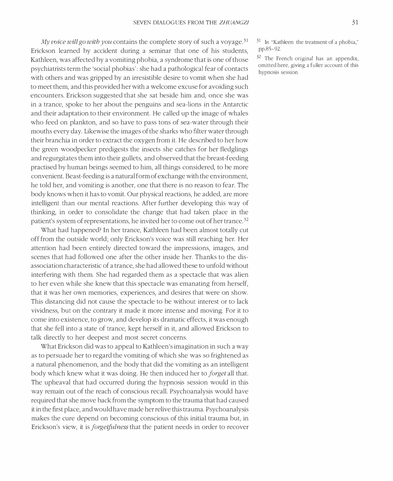My voice will go with you contains the complete story of such a voyage.<sup>31</sup> Erickson learned by accident during a seminar that one of his students, Kathleen, was affected by a vomiting phobia, a syndrome that is one of those psychiatrists term the 'social phobias': she had a pathological fear of contacts with others and was gripped by an irresistible desire to vomit when she had to meet them, and this provided her with a welcome excuse for avoiding such encounters. Erickson suggested that she sat beside him and, once she was in a trance, spoke to her about the penguins and sea-lions in the Antarctic and their adaptation to their environment. He called up the image of whales who feed on plankton, and so have to pass tons of sea-water through their mouths every day. Likewise the images of the sharks who filter water through their branchia in order to extract the oxygen from it. He described to her how the green woodpecker predigests the insects she catches for her fledglings and regurgitates them into their gullets, and observed that the breast-feeding practised by human beings seemed to him, all things considered, to be more convenient. Beast -feeding is a natural form of exchange with the environment, he told her, and vomiting is another, one that there is no reason to fear. The body knows when it has to vomit. Our physical reactions, he added, are more intelligent than our mental reactions. After further developing this way of thinking, in order to consolidate the change that had taken place in the patient's system of representations, he invited her to come out of her trance. 32

What had happened? In her trance, Kathleen had been almost totally cut off from the outside world; only Erickson's voice was still reaching her. Her attention had been entirely directed toward the impressions, images, and scenes that had followed one after the other inside her. Thanks to the disassociation characteristic of a trance, she had allowed these to unfold without interfering with them. She had regarded them as a spectacle that was alien to her even while she knew that this spectacle was emanating from herself, that it was her own memories, experiences, and desires that were on show. This distancing did not cause the spectacle to be without interest or to lack vividness, but on the contrary it made it more intense and moving. For it to come into existence, to grow, and develop its dramatic effects, it was enough that she fell into a state of trance, kept herself in it, and allowed Erickson to talk directly to her deepest and most secret concerns.

What Erickson did was to appeal to Kathleen's imagination in such a way as to persuade her to regard the vomiting of which she was so frightened as a natural phenomenon, and the body that did the vomiting as an intelligent body which knew what it was doing. He then induced her to *forget* all that. The upheaval that had occurred during the hypnosis session would in this way remain out of the reach of conscious recall. Psychoanalysis would have required that she move back from the symptom to the trauma that had caused it in the first place, and would have made her relive this trauma. Psychoanalysis makes the cure depend on becoming conscious of this initial trauma but, in Erickson's view, it is *forgetfulness* that the patient needs in order to recover

31 In "Kathleen: the treatment of a phobia," pp.S5-92.

 $32$  The French original has an appendix, omitted here, giving a fuller account of this hypnosis session.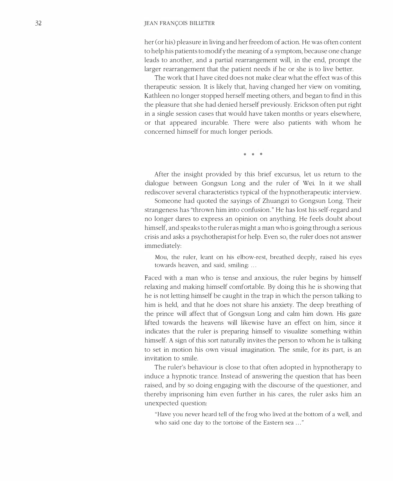#### 32 JEAN FRANÇOIS BILLETER

her (or his) pleasure in living and her freedom of action. He was often content to help his patients to modify the meaning of a symptom, because one change leads to another, and a partial rearrangement will, in the end, prompt the larger rearrangement that the patient needs if he or she is to live better.

The work that I have cited does not make clear what the effect was of this therapeutic session. It is likely that, having changed her view on vomiting, Kathleen no longer stopped herself meeting others, and began to find in this the pleasure that she had denied herself previously. Erickson often put right in a single session cases that would have taken months or years elsewhere, or that appeared incurable. There were also patients with whom he concerned himself for much longer periods.

\* \* \*

After the insight provided by this brief excursus, let us return to the dialogue between Gongsun Long and the ruler of Wei. In it we shall rediscover several characteristics typical of the hypnotherapeutic interview.

Someone had quoted the sayings of Zhuangzi to Gongsun Long. Their strangeness has "thrown him into confusion." He has lost his self-regard and no longer dares to express an opinion on anything. He feels doubt about himself, and speaks to the ruler as might a man who is going through a serious crisis and asks a psychotherapist for help. Even so, the ruler does not answer immediately:

Mou, the ruler, leant on his elbow-rest, breathed deeply, raised his eyes towards heaven, and said, smiling: ...

Faced with a man who is tense and anxious, the ruler begins by himself relaxing and making himself comfortable. By doing this he is showing that he is not letting himself be caught in the trap in which the person talking to him is held, and that he does not share his anxiety. The deep breathing of the prince will affect that of Gongsun Long and calm him down. His gaze lifted towards the heavens will likewise have an effect on him, since it indicates that the ruler is preparing himself to visualize something within himself. A sign of this sort naturally invites the person to whom he is talking to set in motion his own visual imagination. The smile, for its part, is an invitation to smile.

The ruler's behaviour is close to that often adopted in hypnotherapy to induce a hypnotic trance. Instead of answering the question that has been raised, and by so doing engaging with the discourse of the questioner, and thereby imprisoning him even further in his cares, the ruler asks him an unexpected question:

"Have you never heard tell of the frog who lived at the bottom of a well, and who said one day to the tortoise of the Eastern sea ..."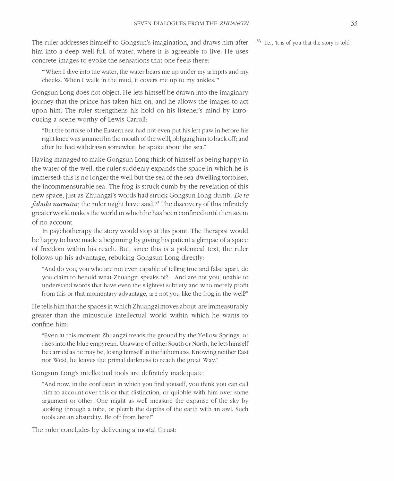The ruler addresses himself to Gongsun's imagination, and draws him after  $33$  I.e., It is of you that the story is told'. him into a deep well full of water, where it is agreeable to live. He uses concrete images to evoke the sensations that one feels there:

"'When I dive into the water, the water bears me up under my armpits and my cheeks. When I walk in the mud, it covers me up to my ankles.'"

Gongsun Long does not object. He lets himself be drawn into the imaginary journey that the prince has taken him on, and he allows the images to act upon him. The ruler strengthens his hold on his listener's mind by introducing a scene worthy of Lewis Carroll:

"But the tortoise of the Eastern sea had not even put his left paw in before his right knee was jammed [in the mouth of the weill, obliging him to back off; and after he had withdrawn somewhat, he spoke about the sea."

Having managed to make Gongsun Long think of himself as being happy in the water of the well, the ruler suddenly expands the space in which he is immersed: this is no longer the well but the sea of the sea-dwelling tortoises, the incommensurable sea. The frog is struck dumb by the revelation of this new space, just as Zhuangzi's words had struck Gongsun Long dumb. De te *fabula narratur*, the ruler might have said.<sup>33</sup> The discovery of this infinitely greater world makes the world in which he has been confined until then seem of no account.

In psychotherapy the story would stop at this point. The therapist would be happy to have made a beginning by giving his patient a glimpse of a space of freedom within his reach. But, since this is a polemical text, the ruler follows up his advantage, rebuking Gongsun Long directly:

"And do you, you who are not even capable of telling true and false apart, do you claim to behold what Zhuangzi speaks of? .. And are not you, unable to understand words that have even the slightest subtlety and who merely profit from this or that momentary advantage, are not you like the frog in the well?"

He tells him that the spaces in which Zhuangzi moves about are immeasurably greater than the minuscule intellectual world within which he wants to confine him:

"Even at this moment Zhuangzi treads the ground by the Yellow Springs, or rises into the blue empyrean. Unaware of either South or North, he lets himself be carried as he may be, losing himself in the fathomless. Knowing neither East nor West, he leaves the primal darkness to reach the great Way."

Gongsun Long's intellectual tools are definitely inadequate:

"And now, in the confusion in which you find youself, you think you can call him to account over this or that distinction, or quibble with him over some argument or other. One might as well measure the expanse of the sky by looking through a tube, or plumb the depths of the earth with an awl. Such tools are an absurdity. Be off from here!"

The ruler concludes by delivering a mortal thrust: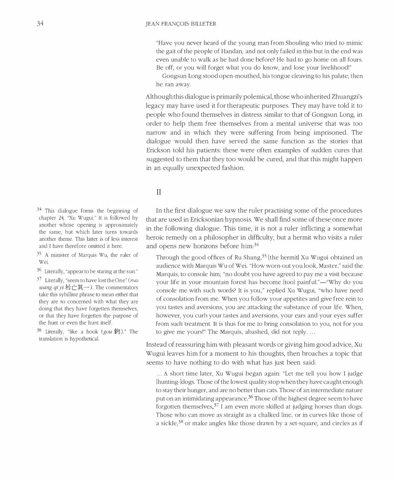"Have you never heard of the young man from Shouling who tried to mimic the gait of the people of Handan, and not only failed in this but in the end was even unable to walk as he had done before? He had to go home on all fours. Be off, or you will forget what you do know, and lose your livelihood!"

Gongsun Long stood open-mouthed, his tongue cleaving to his palate; then he ran away.

Although this dialogue is primarily polemical, those who inherited Zhuangzi's legacy may have used it for therapeutic purposes. They may have told it to people who found themselves in distress similar to that of Gongsun Long, in order to help them free themselves from a mental universe that was too narrow and in which they were suffering from being imprisoned. The dialogue would then have served the same function as the stories that Erickson told his patients: these were often examples of sudden cures that suggested to them that they too would be cured, and that this might happen in an equally unexpected fashion.

#### II

 $34$  This dialogue forms the beginning of chapter 24, "Xu Wugui." It is followed by another whose opening is approximately the same, but which later turns towards another theme. This latter is of less interest and I have therefore omitted it here.

35 A minister of Marquis Wu, the ruler of Wei.

 $36$  Literally, "appear to be staring at the sun."

 $37$  Literally, "seem to have lost the One" ( $ruo$ wang  $qi$   $yi$  若亡其一). The commentators take this sybilline phrase to mean either that they are so concerned with what they are doing that they have forgetten themselves, or that they have forgetten the purpose of the hunt or even the hunt itself.

<sup>38</sup> Literally, "like a hook (gou  $\frac{20}{3}$ )." The translation is hypothetical.

In the first dialogue we saw the ruler practising some of the procedures that are used in Ericksonian hypnosis. We shall find some of these once more in the following dialogue. This time, it is not a ruler inflicting a somewhat heroic remedy on a philosopher in difficulty, but a hermit who visits a ruler and opens new horizons before him:<sup>34</sup>

Through the good offices of Ru Shang,35 [the hermit) Xu Wugui obtained an audience with Marquis Wu of Wei. "How worn-out you look, Master," said the Marquis, to console him; "no doubt you have agreed to pay me a visit because your life in your mountain forest has become [too] painful."—"Why do you console me with such words? It is you," replied Xu Wugui, "who have need of consolation from me. When you follow your appetites and give free rein to you tastes and aversions, you are attacking the substance of your life. When, however, you curb your tastes and aversions, your ears and your eyes suffer from such treatment. It is thus for me to bring consolation to you, not for you to give me yours!" The Marquis, abashed, did not reply . ...

Instead of reassuring him with pleasant words or giving him good advice, Xu Wugui leaves him for a moment to his thoughts, then broaches a topic that seems to have nothing to do with what has just been said:

... A short time later, Xu Wugui began again: "Let me tell you how I judge [hunting-)dogs. Those of the lowest quality stop when they have caught enough to stay their hunger, and are no better than cats. Those of an intermediate nature put on an intimidating appearance.36 Those of the highest degree seem to have forgotten themselves.<sup>37</sup> I am even more skilled at judging horses than dogs. Those who can move as straight as a chalked line, or in curves like those of a sickle,38 or make angles like those drawn by a set-square, and circles as if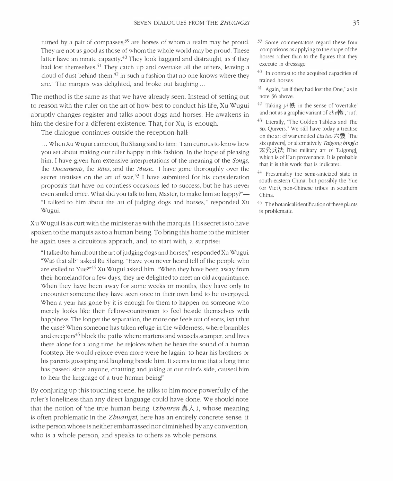turned by a pair of compasses,  $39$  are horses of whom a realm may be proud. They are not as good as those of whom the whole world may be proud. These latter have an innate capacity.<sup>40</sup> They look haggard and distraught, as if they had lost themselves.<sup>41</sup> They catch up and overtake all the others, leaving a cloud of dust behind them, $^{42}$  in such a fashion that no one knows where they are." The marquis was delighted, and broke out laughing ...

The method is the same as that we have already seen. Instead of setting out to reason with the ruler on the art of how best to conduct his life, Xu Wugui abruptly changes register and talks about dogs and horses. He awakens in him the desire for a different existence. That, for Xu, is enough.

The dialogue continues outside the reception-hall:

... When Xu Wugui came out, Ru Shang said to him: "I am curious to know how you set about making our ruler happy in this fashion. In the hope of pleasing him, I have given him extensive interpretations of the meaning of the *Songs*, the Documents, the Rites, and the Music. I have gone thoroughly over the secret treatises on the art of war. $43$  I have submitted for his consideration proposals that have on countless occasions led to success, but he has never even smiled once. What did you talk to him, Master, to make him so happy?" "I talked to him about the art of judging dogs and horses," responded Xu Wugui.

Xu Wugui is as curt with the minister as with the marquis. His secret is to have spoken to the marquis as to a human being. To bring this home to the minister he again uses a circuitous apprach, and, to start with, a surprise:

"I talked to him about the art of judging dogs and horses," responded Xu Wugui. "Was that all?" asked Ru Shang. "Have you never heard tell of the people who are exiled to Yue?<sup>,44</sup> Xu Wugui asked him. "When they have been away from their homeland for a few days, they are delighted to meet an old acquaintance. When they have been away for some weeks or months, they have only to encounter someone they have seen once in their own land to be overjoyed. When a year has gone by it is enough for them to happen on someone who merely looks like their fellow-countrymen to feel beside themselves with happiness. The longer the separation, the more one feels out of sorts, isn't that the case? When someone has taken refuge in the wilderness, where brambles and creepers<sup>45</sup> block the paths where martens and weasels scamper, and lives there alone for a long time, he rejoices when he hears the sound of a human footstep. He would rejoice even more were he [again] to hear his brothers or his parents gossiping and laughing beside him. It seems to me that a long time has passed since anyone, chattting and joking at our ruler's side, caused him to hear the language of a true human being!"

By conjuring up this touching scene, he talks to him more powerfully of the ruler's loneliness than any direct language could have done. We should note that the notion of 'the true human being' (*zhenren* 真人), whose meaning is often problematic in the Zhuangzi, here has an entirely concrete sense: it is the person whose is neither embarrassed nor diminished by any convention, who is a whole person, and speaks to others as whole persons.

- 39 Some commentators regard these four comparisons as applying to the shape of the horses rather than to the figures that they execute in dressage.
- 40 In contrast to the acquired capacities of trained horses.
- 41 Again, "as if they had lost the One," as in note 36 above.
- <sup>42</sup> Taking  $vi \#$  in the sense of 'overtake' and not as a graphic variant of  $zbe$ .  $\hat{x}$  , 'rut'.
- 43 Literally, "The Golden Tablets and The Six Quivers." We still have today a treatise on the art of war entitled *Liu tao*六弢 [The six quivers], or alternatively Taigong bingfa 太公兵法 [The military art of Taigong], which is of Han provenance. It is probable that it is this work that is indicated.
- 44 Presumably the semi-sinicized state in south-eastern China, but possibly the Yue (or Viet), non-Chinese tribes in southern China.
- 45 The botanical identification of these plants is problematic.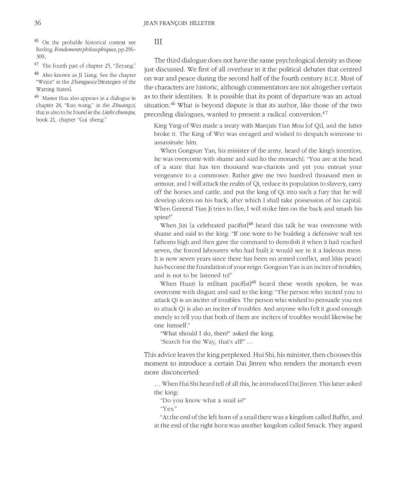46 On the probable historical context see Reding, Fondements philosophiques, pp.296-300

47 The fourth part of chapter 25, "Zeyang."

48 Also known as Ji Liang. See the chapter "Weice" in the Zhanguoce [Strategies of the Warring Statesl.

49 Master Hua also appears in a dialogue in chapter 28, "Ruo wang," in the Zhuangzi, that is also to be found in the Lüshi chunqiu, book 21, chapter "Gui sheng."

#### III

The third dialogue does not have the same psychological density as those just discussed. We first of all overhear in it the political debates that centred on war and peace during the second half of the fourth century B.C.E. Most of the characters are historic, although commentators are not altogether certain as to their identities. It is possible that its point of departure was an actual situation. 46 What is beyond dispute is that its author, like those of the two preceding dialogues, wanted to present a radical conversion:<sup>47</sup>

King Ying of Wei made a treaty with Marquis Tian Mou [of Qil, and the latter broke it. The King of Wei was enraged and wished to despatch someone to assassinate him.

When Gongsun Yan, his minister of the army, heard of the king's intention, he was overcome with shame and said [to the monarch]: "You are at the head of a state that has ten thousand war-chariots and yet you entrust your vengeance to a commoner. Rather give me two hundred thousand men in armour, and I will attack the realm of Qi, reduce its population to slavery, carty off the horses and cattle, and put the king of Qi into such a fury that he will develop ulcers on his back, after which I shall take possession of his capital. When General Tian Ji tries to flee, I will strike him on the back and smash his spine!"

When Jizi [a celebrated pacifist]<sup>48</sup> heard this talk he was overcome with shame and said to the king: "If one were to be building a defensive wall ten fathoms high and then gave the command to demolish it when it had reached seven, the forced labourers who had built it would see in it a hideous mess. It is now seven years since there has been no armed conflict, and [this peace) has become the foundation of your reign. Gongsun Yan is an inciter of troubles, and is not to be listened to!"

When Huazi [a militant pacifist] $49$  heard these words spoken, he was overcome with disgust and said to the king: "The person who incited you to attack Qi is an inciter of troubles. The person who wished to persuade you not to attack Qi is also an inciter of troubles. And anyone who felt it good enough merely to tell you that both of them are inciters of troubles would likewise be one himself."

"What should I do, then?" asked the king.

"Search for the Way, that's all!" ...

This advice leaves the king perplexed. Hui Shi, his minister, then chooses this moment to introduce a certain Dai Jimen who renders the monarch even more disconcerted:

... When Hui Shi heard tell of all this, he introduced Dai Jinren. This latter asked the king:

"Do you know what a snail is?"

"Yes,"

"At the end of the left horn of a snail there was a kingdom called Buffet, and at the end of the right horn was another kingdom called Smack. They argued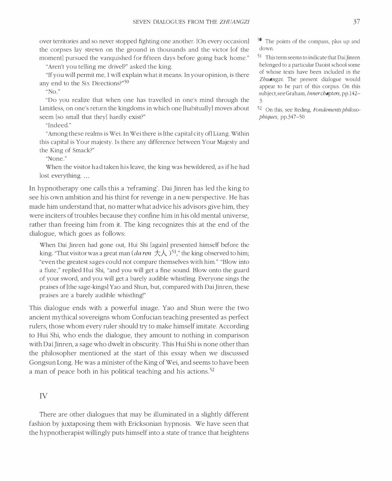over territories and so never stopped fighting one another. [On every occasion] the corpses lay strewn on the ground in thousands and the victor [of the moment] pursued the vanquished for fifteen days before going back home."

"Aren't you telling me drivel?" asked the king.

"If you will permit me, I will explain what it means. In your opinion, is there any end to the Six Directions?"<sup>50</sup>

" $No.$ "

"Do you realize that when one has travelled in one's mind through the Limitless, on one's return the kingdoms in which one [habitually] moves about seem [so small that they] hardly exist?"

"Indeed."

"Among these realms is Wei. In Wei there is [the capital city of] Liang. Within this capital is Your majesty. Is there any difference between Your Majesty and the King of Smack?"

"None,"

When the visitor had taken his leave, the king was bewildered, as if he had lost everything...

In hypnotherapy one calls this a 'reframing'. Dai Jinren has led the king to see his own ambition and his thirst for revenge in a new perspective. He has made him understand that, no matter what advice his advisors give him, they were inciters of troubles because they confine him in his old mental universe, rather than freeing him from it. The king recognizes this at the end of the dialogue, which goes as follows:

When Dai Jinren had gone out, Hui Shi [again] presented himself before the king. "That visitor was a great man (*da ren*  $\pm \lambda$ )<sup>51</sup>," the king observed to him; "even the greatest sages could not compare themselves with him." "Blow into a flute," replied Hui Shi, "and you will get a fine sound. Blow onto the guard of your sword, and you will get a barely audible whistling. Everyone sings the praises of [the sage-kings] Yao and Shun, but, compared with Dai Jinren, these praises are a barely audible whistling!"

This dialogue ends with a powerful image. Yao and Shun were the two ancient mythical sovereigns whom Confucian teaching presented as perfect rulers, those whom every ruler should try to make himself imitate. According to Hui Shi, who ends the dialogue, they amount to nothing in comparison with Dai Jinren, a sage who dwelt in obscurity. This Hui Shi is none other than the philosopher mentioned at the start of this essay when we discussed Gongsun Long. He was a minister of the King of Wei, and seems to have been a man of peace both in his political teaching and his actions.<sup>52</sup>

#### IV

There are other dialogues that may be illuminated in a slightly different fashion by juxtaposing them with Ericksonian hypnosis. We have seen that the hypnotherapist willingly puts himself into a state of trance that heightens

50 The points of the compass, plus up and down.

51 This term seems to indicate that DaiJinren belonged to a particular Daoist school some of whose texts have been included in the Zhuangzi. The present dialogue would appear to be part of this corpus. On this subject, see Graham, Inner chapters, pp.142-3

52 On this, see Reding, Fondements philosophiques, pp.347-50.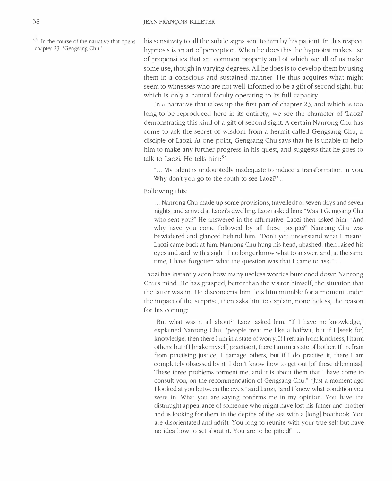53 In the course of the narrative that opens chapter 23, "Gengsang Chu."

his sensitivity to all the subtle signs sent to him by his patient. In this respect hypnosis is an art of perception. When he does this the hypnotist makes use of propensities that are common property and of which we all of us make some use, though in varying degrees. All he does is to develop them by using them in a conscious and sustained manner. He thus acquires what might seem to witnesses who are not well-informed to be a gift of second sight, but which is only a natural faculty operating to its full capacity.

In a narrative that takes up the first part of chapter 23, and which is too long to be reproduced here in its entirety, we see the character of 'Laozi' demonstrating this kind of a gift of second sight. A certain Nanrong Chu has come to ask the secret of wisdom from a hermit called Gengsang Chu, a disciple of Laozi. At one point, Gengsang Chu says that he is unable to help him to make any further progress in his quest, and suggests that he goes to talk to Laozi. He tells him:<sup>53</sup>

"... My talent is undoubtedly inadequate to induce a transformation in you. Why don't you go to the south to see Laozi?" ...

Following this:

... Nanrong Chu made up some provisions, travelled for seven days and seven nights, and arrived at Laozi's dwelling. Laozi asked him: "Was it Gengsang Chu who sent you?" He answered in the affirmative. Laozi then asked him: "And why have you come followed by all these people?" Nanrong Chu was bewildered and glanced behind him. "Don't you understand what I mean?" Laozi came back at him. Nanrong Chu hung his head, abashed, then raised his eyes and said, with a sigh: "I no longer know what to answer, and, at the same time, I have forgotten what the question was that I came to ask." ...

Laozi has instantly seen how many useless worries burdened down Nanrong Chu's mind. He has grasped, better than the visitor himself, the situation that the latter was in. He disconcerts him, lets him mumble for a moment under the impact of the surprise, then asks him to explain, nonetheless, the reason for his coming:

"But what was it all about?" Laozi asked him. "If I have no knowledge," explained Nanrong Chu, "people treat me like a halfwit; but if I [seek for] knowledge, then there I am in a state of worry. If I refrain from kindness, I harm others; but if I [make myself] practise it, there I am in a state of bother. If I refrain from practising justice, I damage others, but if I do practise it, there I am completely obsessed by it. I don't know how to get out [of these dilemmas]. These three problems torment me, and it is about them that I have come to consult you, on the recommendation of Gengsang Chu." "Just a moment ago I looked at you between the eyes," said Laozi, "and I knew what condition you were in. What you are saying confirms me in my opinion. You have the distraught appearance of someone who might have lost his father and mother and is looking for them in the depths of the sea with a [long] boathook. You are disorientated and adrift. You long to reunite with your true self but have no idea how to set about it. You are to be pitied!" ...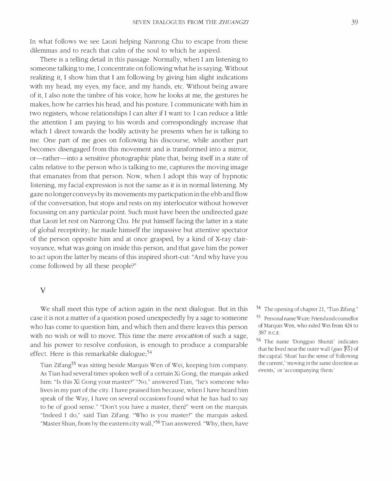In what follows we see Laozi helping Nanrong Chu to escape from these dilemmas and to reach that calm of the soul to which he aspired.

There is a telling detail in this passage. Normally, when I am listening to someone talking to me, I concentrate on following what he is saying. Without realizing it, I show him that I am following by giving him slight indications with my head, my eyes, my face, and my hands, etc. Without being aware of it, I also note the timbre of his voice, how he looks at me, the gestures he makes, how he carries his head, and his posture. I communicate with him in two registers, whose relationships I can alter if I want to: I can reduce a little the attention I am paying to his words and correspondingly increase that which I direct towards the bodily activity he presents when he is talking to me. One part of me goes on following his discourse, while another part becomes disengaged from this movement and is transformed into a mirror, or-rather-into a sensitive photographic plate that, being itself in a state of calm relative to the person who is talking to me, captures the moving image that emanates from that person. Now, when I adopt this way of hypnotic listening, my facial expression is not the same as it is in normal listening. My gaze no longer conveys by its movements my particpation in the ebb and flow of the conversation, but stops and rests on my interlocutor without however focussing on any particular point. Such must have been the undirected gaze that Laozi let rest on Nanrong Chu. He put himself facing the latter in a state of global receptivity; he made himself the impassive but attentive spectator of the person opposite him and at once grasped, by a kind of X-ray clairvoyance, what was going on inside this person, and that gave him the power to act upon the latter by means of this inspired short-cut: "And why have you come followed by all these people?"

#### v

We shall meet this type of action again in the next dialogue. But in this case it is not a matter of a question posed unexpectedly by a sage to someone who has come to question him, and which then and there leaves this person with no wish or will to move. This time the mere *evocation* of such a sage, and his power to resolve confusion, is enough to produce a comparable effect. Here is this remarkable dialogue: $54$ 

Tian Zifang<sup>55</sup> was sitting beside Marquis Wen of Wei, keeping him company. As Tian had several times spoken well of a certain Xi Gong, the marquis asked him: "Is this Xi Gong your master?" "No," answered Tian, "he's someone who lives in my part of the city. I have praised him because, when I have heard him speak of the Way, I have on several occasions found what he has had to say to be of good sense." "Don't you have a master, then'" went on the marquis. "Indeed I do," said Tian Zifang. "Who is you master?" the marquis asked. "Master Shun, from by the eastern city wall,"<sup>56</sup> Tian answered. "Why, then, have

54 The opening of chapter 21, "Tian Zifang."

<sup>55</sup> Personal name Wuze. Friend and counsellor of Marquis Wen, who ruled Wei from 424 to 387 B.C.E.

<sup>56</sup> The name 'Dongguo Shunzi' indicates that he lived near the outer wall (guo  $\frac{1}{7}$ ) of the capital. 'Shun' has the sense of 'following the current,' 'moving in the same direction as events,' or 'accompanying them.'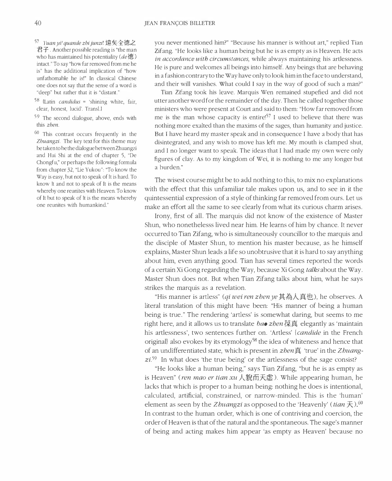$57$  Yuan yi! quande zhi junzi! 遠矣全德之 君子. Another possible reading is "the man who has maintained his potentiality ( $de \cdot \ddot{\mathcal{F}}$ ) intact." To say "how far removed from me he is" has the additional implication of "how unfathomable he is!" In classical Chinese one does not say that the sense of a word is "deep" but rather that it is "distant."

 $58$  (Latin *candidus* = 'shining white, fair, clear, honest, lucid'. Transl.l

59 The second dialogue, above, ends with this zhen.

 $60$  This contrast occurs frequently in the Zhuangzi. The key text for this theme may be taken to be the dialogue between Zhuangzi and Hui Shi at the end of chapter 5, "De Chongfu," or perhaps the following formula from chapter 32, "Lie Yukou": "To know the Way is easy, but not to speak of It is hard. To know It and not to speak of It is the means whereby one reunites with Heaven. To know of It but to speak of It is the means whereby one reunites with humankind."

you never mentioned him?" "Because his manner is without art," replied Tian Zifang. "He looks like a human being but he is as empty as is Heaven. He acts in accordance with circumstances, while always maintaining his artlessness. He is pure and welcomes all beings into himself. Any beings that are behaving in a fashion contrary to the Way have only to look him in the face to understand, and their will vanishes. What could I say in the way of good of such a man?"

Tian Zifang took his leave. Marquis Wen remained stupefied and did not utter another word for the remainder of the day. Then he called together those ministers who were present at Court and said to them: "How far removed from me is the man whose capacity is entire!<sup>57</sup> I used to believe that there was nothing more exalted than the maxims of the sages, than humanity and justice. But I have heard my master speak and in consequence I have a body that has disintegrated, and any wish to move has left me. My mouth is clamped shut, and I no longer want to speak. The ideas that I had made my own were only figures of clay. As to my kingdom of Wei, it is nothing to me any longer but a burden."

The wisest course might be to add nothing to this, to mix no explanations with the effect that this unfamiliar tale makes upon us, and to see in it the quintessential expression of a style of thinking far removed from ours. Let us make an effort all the same to see clearly from what its curious charm arises.

Irony, first of all. The marquis did not know of the existence of Master Shun, who nonethelesss lived near him. He learns of him by chance. It never occurred to Tian Zifang, who is simultaneously councillor to the marquis and the disciple of Master Shun, to mention his master because, as he himself explains, Master Shun leads a life so unobtrusive that it is hard to say anything about him, even anything good. Tian has several times reported the words of a certain Xi Gong regarding the Way, because Xi Gong talks about the Way. Master Shun does not. But when Tian Zifang talks about him, what he says strikes the marquis as a revelation.

"His manner is artless" (*qi wei ren zhen ye* 其為人真也), he observes. A literal translation of this might have been: "His manner of being a human being is true." The rendering 'artless' is somewhat daring, but seems to me right here, and it allows us to translate *bao zhen*  $\overline{R}$  and elegantly as 'maintain his artlessness', two sentences further on. 'Artless' {candide in the French original) also evokes by its etymology<sup>58</sup> the idea of whiteness and hence that of an undifferentiated state, which is present in zhen真 'true' in the Zhuang $zi^{59}$  In what does 'the true being' or the artlessness of the sage consist?

"He looks like a human being," says Tian Zifang, "but he is as empty as is Heaven" (*ren mao er tian xu* 人貌而天虚). While appearing human, he lacks that which is proper to a human being: nothing he does is intentional, calculated, artificial, constrained, or narrow-minded. This is the 'human' element as seen by the *Zhuangzi* as opposed to the 'Heavenly' (*tian*  $\overline{\mathcal{F}}$ ) <sup>60</sup> In contrast to the human order, which is one of contriving and coercion, the order of Heaven is that of the natural and the spontaneous. The sage's manner of being and acting makes him appear 'as empty as Heaven' because no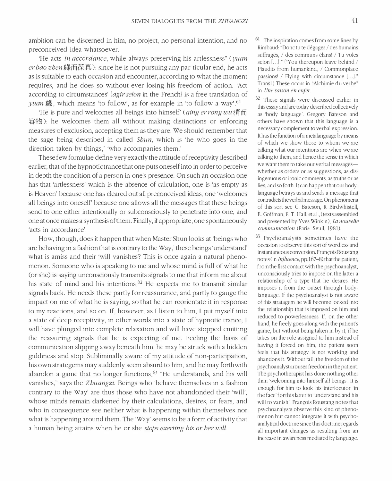ambition can be discerned in him, no project, no personal intention, and no preconceived idea whatsoever.

'He acts in accordance, while always preserving his artlessness" (yuan er bao zhen緣而葆真): since he is not pursuing any par-ticular end, he acts as is suitable to each occasion and encounter, according to what the moment requires, and he does so without ever losing his freedom of action. 'Act according to circumstances' lagir selon in the Frenchl is a free translation of yuan 緣, which means 'to follow', as for example in 'to follow a way'.<sup>61</sup> ,

'He is pure and welcomes all beings into himself' (*qing er rong wu*  $i\overline{\text{F}}$ \$4�): he welcomes them all without making distinctions or enforcing measures of exclusion, accepting them as they are. We should remember that the sage being described in called Shun, which is 'he who goes in the direction taken by things,' 'who accompanies them. '

These few formulae define very exactly the attitude of receptivity described earlier, that of the hypnotic trance that one puts oneself into in order to perceive in depth the condition of a person in one's presence. On such an occasion one has that 'artlessness' which is the absence of calculation, one is 'as empty as is Heaven' because one has cleared out all preconceived ideas, one 'welcomes all beings into oneself' because one allows all the messages that these beings send to one either intentionally or subconsciously to penetrate into one, and one at once makes a synthesis of them. Finally, if appropriate, one spontaneously 'acts in accordance'.

How, though, does it happen that when Master Shun looks at 'beings who are behaving in a fashion that is contrary to the Way,' these beings 'understand' what is amiss and their 'will vanishes'? This is once again a natural phenomenon. Someone who is speaking to me and whose mind is full of what he (or she) is saying unconsciously transmits signals to me that inform me about his state of mind and his intentions.<sup>62</sup> He expects me to transmit similar signals back. He needs these partly for reassurance, and partly to gauge the impact on me of what he is saying, so that he can reorientate it in response to my reactions, and so on. If, however, as I listen to him, I put myself into a state of deep receptivity, in other words into a state of hypnotic trance, I will have plunged into complete relaxation and will have stopped emitting the reassuring signals that he is expecting of me. Feeling the basis of communication slipping away beneath him, he may be struck with a hidden giddiness and stop. Subliminally aware of my attitude of non-participation, his own strategems may suddenly seem absurd to him, and he may forthwith abandon a game that no longer functions 63 "He understands, and his will vanishes," says the Zhuangzi. Beings who 'behave themselves in a fashion contrary to the Way' are thus those who have not abandonded their 'will', whose minds remain darkened by their calculations, desires, or fears, and who in consequence see neither what is happening within themselves nor what is happening around them. The 'Way' seems to be a form of activity that a human being attains when he or she stops exerting his or her will.

<sup>61</sup> The inspiration comes from some lines by Rimbaud: "Donc tu te degages / des humains suffrages, / des communs elans! / Tu voles selon [...]." ("You thereupon leave behind / Plaudits from humankind, / Commonplace passions! / Flying with circumstance [...]." Trans!.} These occur in "Alchimie du verbe" in Une saison en enfer.

62 These signals were discussed earlier in this essay and are today described collectively as 'body language'. Gregory Bateson and others have shown that this language is a necessary complement to verbal expression. It has the function of a metalanguage by means of which we show those to whom we are talking what our intentions are when we are talking to them, and hence the sense in which we want them to take our verbal messageswhether as orders or as suggestions, as disingenuous or ironic comments, as truths or as lies, and so forth. It can happen that our bodylanguage betrays us and sends a message that contradicts the verbal message. On phenomena of this sort see G. Bateson, R. Birdwhistell, E. Goffman, E. T. Hall, et a!., (texts assembled and presented by Yves Winkin), La nouvelle communication (Paris: Seuil, 1981).

63 Psychoanalysts sometimes have the occasion to observe this sort of wordless and instantaneous conversion. Francois Roustang notes (in Influence, pp.167-8) that the patient, from the first contact with the psychoanalyst, unconsciously tries to impose on the latter a relationship of a type that he desires. He imposes it from the outset through bodylanguage. If the psychoanalyst is not aware of this stratagem he will become locked into the relationship that is imposed on him and reduced to powerlessness. If, on the other hand, he freely goes along with the patient's game, but without being taken in by it, if he takes on the role assigned to him instead of having it forced on him, the patient soon feels that his strategy is not working and abandons it. Without fail, the freedom of the psychoanalyst arouses freedom in the patient. The psychotherapist has done nothing other than 'welcoming into himself all beings'. It is enough for him to look his interlocutor 'in the face' for this latter to 'understand and his will to vanish'. Francois Roustang notes that psychoanalysts observe this kind of phenomenon but cannot integrate it with psychoanalytical doctrine since this doctrine regards all important changes as resulting from an increase in awareness mediated by language.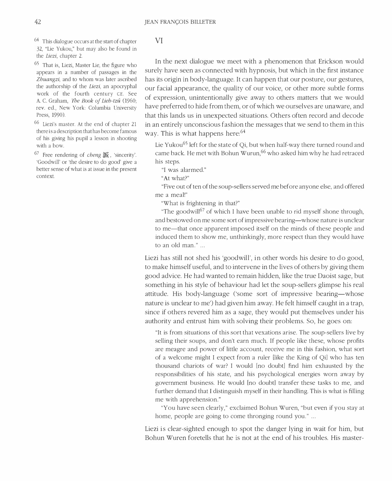$64$  This dialogue occurs at the start of chapter 32, "Lie Yukou," but may also be found in the Liezi, chapter 2.

65 That is, Liezi, Master Lie, the figure who appears in a number of passages in the Zhuangzi, and to whom was later ascribed the authorship of the Liezi, an apocryphal work of the fourth century CE. See A. C. Graham, The Book of Lieh-tzû (1960; rev. ed., New York: Columbia University Press, 1990).

66 Liezi's master. At the end of chapter 21 there is a description that has become famous of his giving his pupil a lesson in shooting with a bow.

 $67$  Free rendering of *cheng* 誠, 'sincerity'. 'Goodwill' or 'the desire to do good' give a better sense of what is at issue in the present context.

### VI

In the next dialogue we meet with a phenomenon that Erickson would surely have seen as connected with hypnosis, but which in the first instance has its origin in body-language. It can happen that our posture, our gestures, our facial appearance, the quality of our voice, or other more subtle forms of expression, unintentionally give away to others matters that we would have preferred to hide from them, or of which we ourselves are unaware, and that this lands us in unexpected situations. Others often record and decode in an entirely unconscious fashion the messages that we send to them in this way. This is what happens here:<sup>64</sup>

Lie Yukou<sup>65</sup> left for the state of Qi, but when half-way there turned round and came back. He met with Bohun Wurun,  $66$  who asked him why he had retraced his steps.

"I was alarmed."

"At what?"

"Five out of ten of the soup-sellers served me before anyone else, and offered me a meal!"

"What is frightening in that?"

"The goodwill<sup>67</sup> of which I have been unable to rid myself shone through, and bestowed on me some sort of impressive bearing—whose nature is unclear to me—that once apparent imposed itself on the minds of these people and induced them to show me, unthinkingly, more respect than they would have to an old man." ...

Liezi has still not shed his 'goodwill', in other words his desire to do good, to make himself useful, and to intervene in the lives of others by giving them good advice. He had wanted to remain hidden, like the true Daoist sage, but something in his style of behaviour had let the soup-sellers glimpse his real attitude. His body-language ('some sort of impressive bearing-whose nature is unclear to me') had given him away. He felt himself caught in a trap, since if others revered him as a sage, they would put themselves under his authority and entrust him with solving their problems. So, he goes on:

"It is from situations of this sort that vexations arise. The soup-sellers live by selling their soups, and don't earn much. If people like these, whose profits are meagre and power of little account, receive me in this fashion, what sort of a welcome might I expect from a ruler [like the King of Qil who has ten thousand chariots of war? I would [no doubtl find him exhausted by the responsibilities of his state, and his psychological energies worn away by government business. He would [no doubtl transfer these tasks to me, and further demand that I distinguish myself in their handling. This is what is filling me with apprehension."

"You have seen clearly," exclaimed Bohun Wuren, "but even if you stay at home, people are going to come thronging round you." ...

Liezi is clear-sighted enough to spot the danger lying in wait for him, but Bohun Wuren foretells that he is not at the end of his troubles. His master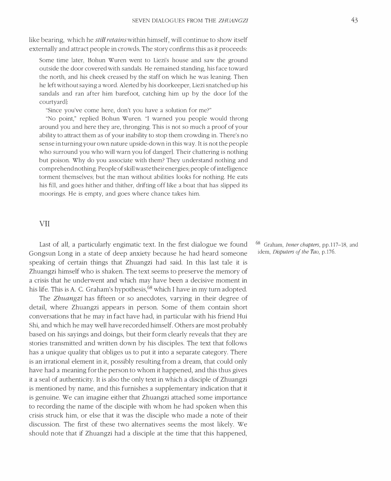like bearing, which he *still retains* within himself, will continue to show itself externally and attract people in crowds. The story confirms this as it proceeds:

Some time later, Bohun Wuren went to Liezi's house and saw the ground outside the door covered with sandals. He remained standing, his face toward the north, and his cheek creased by the staff on which he was leaning. Then he left without saying a word. Alerted by his doorkeeper, Liezi snatched up his sandals and ran after him barefoot, catching him up by the door [of the courtyardl:

"Since you've come here, don't you have a solution for me?"

"No point," replied Bohun Wuren. "I warned you people would throng around you and here they are, thronging. This is not so much a proof of your ability to attract them as of your inability to stop them crowding in. There's no sense in turning your own nature upside-down in this way. It is not the people who surround you who will warn you [of danger]. Their chattering is nothing but poison. Why do you associate with them? They understand nothing and comprehend nothing. People of skill waste their energies; people of intelligence torment themselves; but the man without abilities looks for nothing. He eats his fill, and goes hither and thither, drifting off like a boat that has slipped its moorings. He is empty, and goes where chance takes him.

VII

Last of all, a particularly engimatic text. In the first dialogue we found Gongsun Long in a state of deep anxiety because he had heard someone speaking of certain things that Zhuangzi had said. In this last tale it is Zhuangzi himself who is shaken. The text seems to preserve the memory of a crisis that he underwent and which may have been a decisive moment in his life. This is A. C. Graham's hypothesis,<sup>68</sup> which I have in my turn adopted.

The Zhuangzi has fifteen or so anecdotes, varying in their degree of detail, where Zhuangzi appears in person. Some of them contain short conversations that he may in fact have had, in particular with his friend Hui Shi, and which he may well have recorded himself. Others are most probably based on his sayings and doings, but their form clearly reveals that they are stories transmitted and written down by his disciples. The text that follows has a unique quality that obliges us to put it into a separate category. There is an irrational element in it, possibly resulting from a dream, that could only have had a meaning for the person to whom it happened, and this thus gives it a seal of authenticity. It is also the only text in which a disciple of Zhuangzi is mentioned by name, and this furnishes a supplementary indication that it is genuine. We can imagine either that Zhuangzi attached some importance to recording the name of the disciple with whom he had spoken when this crisis struck him, or else that it was the disciple who made a note of their discussion. The first of these two alternatives seems the most likely. We should note that if Zhuangzi had a disciple at the time that this happened,

Graham, *Inner chapters*, pp.117-18, and idem, Disputers of the Tao, p.l76.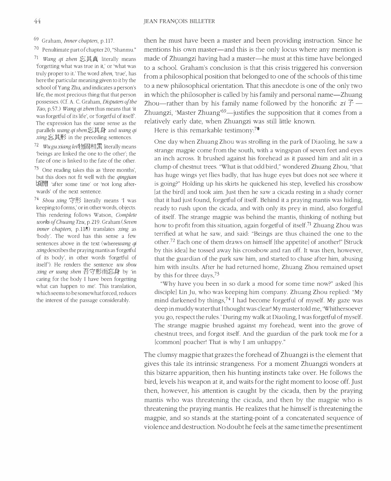69 Graham, Inner chapters, p.1l7.

70 Penultimate part of chapter 20, "Shanmu."

71 Wang qi zhen 忘其真 literally means 'forgetting what was true in it,' or 'what was truly proper to it.' The word zhen, 'true', has here the particular meaning given to it by the school of Yang Zhu, and indicates a person's life, the most precious thing that that person possesses. (Cf. A. C. Graham, Disputers of the Tao, p.57.) Wang qi zhen thus means that 'it was forgetful of its life', or 'forgetful of itself. The expression has the same sense as the parallels *wang qi shen* 忘其身 and *wang qi*  $xing \in \mathbb{R}$  in the preceding sentences.

 $72$  *Wugu xiang lei* 物固相累 literally means 'beings are linked the one to the other'; the fate of one is linked to the fate of the other.

73 One reading takes this as 'three months', but this does not fit well with the qingjian 頃閒 after some time' or 'not long afterwards' of the next sentence.

 $74$  Shou xing 守形 literally means 'I was keeping to forms,' or in other words, objects. This rendering follows Watson, Complete works of Chuang Tzu, p.219. Graham (Seven inner chapters, p.118) translates xing as 'body'. The word has this sense a few sentences above in the text (wherewang  $qi$ xing describes the praying mantis as 'forgetful of its body', in other words 'forgetful of itself'). He renders the sentence wu shou xing er wang shen 吾守形而忘身 by 'in caring for the body 1 have been forgetting what can happen to me'. This translation, which seems to be somewhat forced, reduces the interest of the passage considerably.

then he must have been a master and been providing instruction. Since he mentions his own master—and this is the only locus where any mention is made of Zhuangzi having had a master—he must at this time have belonged to a school. Graham's conclusion is that this crisis triggered his conversion from a philosophical position that belonged to one of the schools of this time to a new philosophical orientation. That this anecdote is one of the only two in which the philosopher is called by his family and personal name—Zhuang Zhou—rather than by his family name followed by the honorific  $zi \vec{\tau}$  -Zhuangzi, 'Master Zhuang'<sup>69</sup>—justifies the supposition that it comes from a relatively early date, when Zhuangzi was still little known.

Here is this remarkable testimony:<sup>70</sup>

One day when Zhuang Zhou was strolling in the park of Diaoling, he saw a strange magpie come from the south, with a wingspan of seven feet and eyes an inch across. It brushed against his forehead as it passed him and alit in a clump of chestnut trees. "What is that odd bird," wondered Zhuang Zhou, "that has huge wings yet flies badly, that has huge eyes but does not see where it is going?" Holding up his skirts he quickened his step, levelled his crossbow [at the bird] and took aim. Just then he saw a cicada resting in a shady corner that it had just found, forgetful of itself. Behind it a praying mantis was hiding, ready to rush upon the cicada, and with only its prey in mind, also forgetful of itself. The strange magpie was behind the mantis, thinking of nothing but how to profit from this situation, again forgetful of itself.<sup>71</sup> Zhuang Zhou was terrified at what he saw, and said: "Beings are thus chained the one to the other.72 Each one of them draws on himself [the appetite] of another!" [Struck by this idea] he tossed away his crossbow and ran off. It was then, however, that the guardian of the park saw him, and started to chase after him, abusing him with insults. After he had returned home, Zhuang Zhou remained upset by this for three days 73

"Why have you been in so dark a mood for some time now?" asked [his disciple] Lin Ju, who was keeping him company. Zhuang Zhou replied: "My mind darkened by things,  $74$  I had become forgetful of myself. My gaze was deep in muddy water that I thought was clear! My master told me, 'Whithersoever you go, respect the rules.' During my walk at Diaoling, I was forgetful of myself. The strange magpie brushed against my forehead, went into the grove of chestnut trees, and forgot itself. And the guardian of the park took me for a [common] poacher! That is why I am unhappy."

The clumsy magpie that grazes the forehead of Zhuangzi is the element that gives this tale its intrinsic strangeness. For a moment Zhuangzi wonders at this bizarre apparition, then his hunting instincts take over. He follows the bird, levels his weapon at it, and waits for the right moment to loose off. Just then, however, his attention is caught by the cicada, then by the praying mantis who was threatening the cicada, and then by the magpie who is threatening the praying mantis. He realizes that he himself is threatening the magpie, and so stands at the starting-point of a concatenated sequence of violence and destruction. No doubt he feels at the same time the presentiment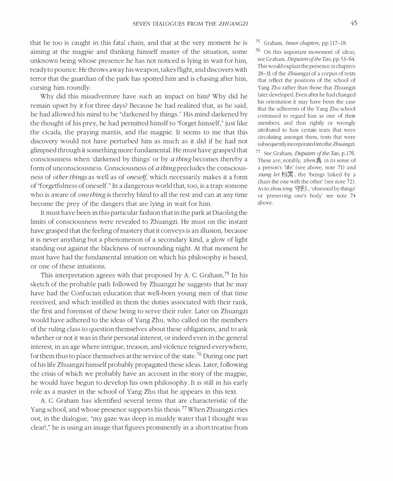that he too is caught in this fatal chain, and that at the very moment he is aiming at the magpie and thinking himself master of the situation, some unknown being whose presence he has not noticed is lying in wait for him, ready to pounce. He throws away his weapon, takes flight, and discovers with terror that the guardian of the park has spotted him and is chasing after him, cursing him roundly.

Why did this misadventure have such an impact on him? Why did he remain upset by it for three days? Because he had realized that, as he said, he had allowed his mind to be "darkened by things." His mind darkened by the thought of his prey, he had permitted himslf to "forget himself," just like the cicada, the praying mantis, and the magpie. It seems to me that this discovery would not have perturbed him as much as it did if he had not glimpsed through it something more fundamental. He must have grasped that consciousness when 'darkened by things' or by a thing becomes thereby a form of unconsciousness. Consciousness of a thing precludes the consciousness of other things as well as of oneself, which necessarily makes it a form of "forgetfulness of oneself." In a dangerous world that, too, is a trap: somone who is aware of *one thing* is thereby blind to all the rest and can at any time become the prey of the dangers that are lying in wait for him.

It must have been in this particular fashion that in the park at Diaoling the limits of consciousness were revealed to Zhuangzi. He must on the instant have grasped that the feeling of mastery that it conveys is an illusion, because it is never anything but a phenomenon of a secondary kind, a glow of light standing out against the blackness of surrounding night. At that moment he must have had the fundamental intuition on which his philosophy is based, or one of these intuitions.

This interpretation agrees with that proposed by A. C. Graham.<sup>75</sup> In his sketch of the probable path followed by Zhuangzi he suggests that he may have had the Confucian education that well-born young men of that time received, and which instilled in them the duties associated with their rank, the first and foremost of these being to serve their ruler. Later on Zhuangzi would have adhered to the ideas of Yang Zhu, who called on the members of the ruling class to question themselves about these obligations, and to ask whether or not it was in their personal interest, or indeed even in the general interest, in an age where intrigue, treason, and violence reigned everywhere, for them thus to place themselves at the service of the state.<sup>76</sup> During one part of his life Zhuangzi himself probably propagated these ideas. Later, following the crisis of which we probably have an account in the story of the magpie, he would have begun to develop his own philosophy. It is still in his early role as a master in the school of Yang Zhu that he appears in this text.

A. C. Graham has identified several terms that are characteristic of the Yang school, and whose presence supports his thesis. 77 When Zhuangzi cries out, in the dialogue, "my gaze was deep in muddy water that I thought was clear!," he is using an image that figures prominently in a short treatise from

#### 75 Graham, Inner chapters, pp.117-18.

76 On this important movement of ideas, see Graham, Disputers of the Tao, pp.53-64. This would explain the presence in chapters 28-31 of the Zhuangzi of a corpus of texts that reflect the positions of the school of Yang Zhu rather than those that Zhuangzi later developed. Even after he had changed his orientation it may have been the case that the adherents of the Yang Zhu school continued to regard him as one of their members, and thus rightly or wrongly attributed to him certain texts that were circulating amongst them, texts that were subsequently incorporated into the Zhuangzi.

77 See Graham, Disputers of the Tao, p.176. These are, notably,  $zhen$ **f** in its sense of a person's 'life' (see above, note 71) and *xiang lei* 相累, the 'beings linked by a chain the one with the other' (see note 72). As to *shou xing*  $\overleftrightarrow{H}$ , 'obsessed by things' or 'preserving one's body' see note 74 above.